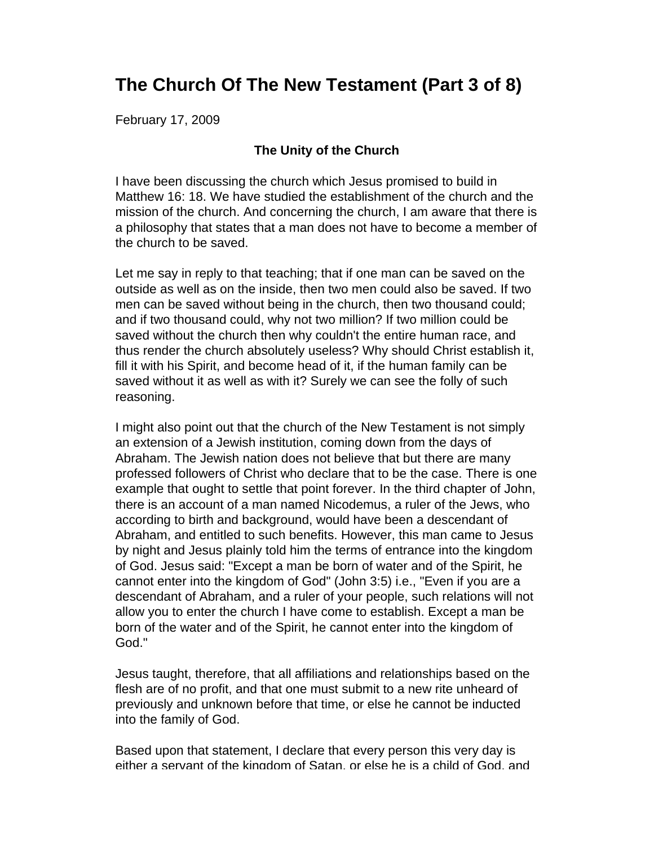# **The Church Of The New Testament (Part 3 of 8)**

February 17, 2009

#### **The Unity of the Church**

I have been discussing the church which Jesus promised to build in Matthew 16: 18. We have studied the establishment of the church and the mission of the church. And concerning the church, I am aware that there is a philosophy that states that a man does not have to become a member of the church to be saved.

Let me say in reply to that teaching; that if one man can be saved on the outside as well as on the inside, then two men could also be saved. If two men can be saved without being in the church, then two thousand could; and if two thousand could, why not two million? If two million could be saved without the church then why couldn't the entire human race, and thus render the church absolutely useless? Why should Christ establish it, fill it with his Spirit, and become head of it, if the human family can be saved without it as well as with it? Surely we can see the folly of such reasoning.

I might also point out that the church of the New Testament is not simply an extension of a Jewish institution, coming down from the days of Abraham. The Jewish nation does not believe that but there are many professed followers of Christ who declare that to be the case. There is one example that ought to settle that point forever. In the third chapter of John, there is an account of a man named Nicodemus, a ruler of the Jews, who according to birth and background, would have been a descendant of Abraham, and entitled to such benefits. However, this man came to Jesus by night and Jesus plainly told him the terms of entrance into the kingdom of God. Jesus said: "Except a man be born of water and of the Spirit, he cannot enter into the kingdom of God" (John 3:5) i.e., "Even if you are a descendant of Abraham, and a ruler of your people, such relations will not allow you to enter the church I have come to establish. Except a man be born of the water and of the Spirit, he cannot enter into the kingdom of God."

Jesus taught, therefore, that all affiliations and relationships based on the flesh are of no profit, and that one must submit to a new rite unheard of previously and unknown before that time, or else he cannot be inducted into the family of God.

Based upon that statement, I declare that every person this very day is either a servant of the kingdom of Satan, or else he is a child of God, and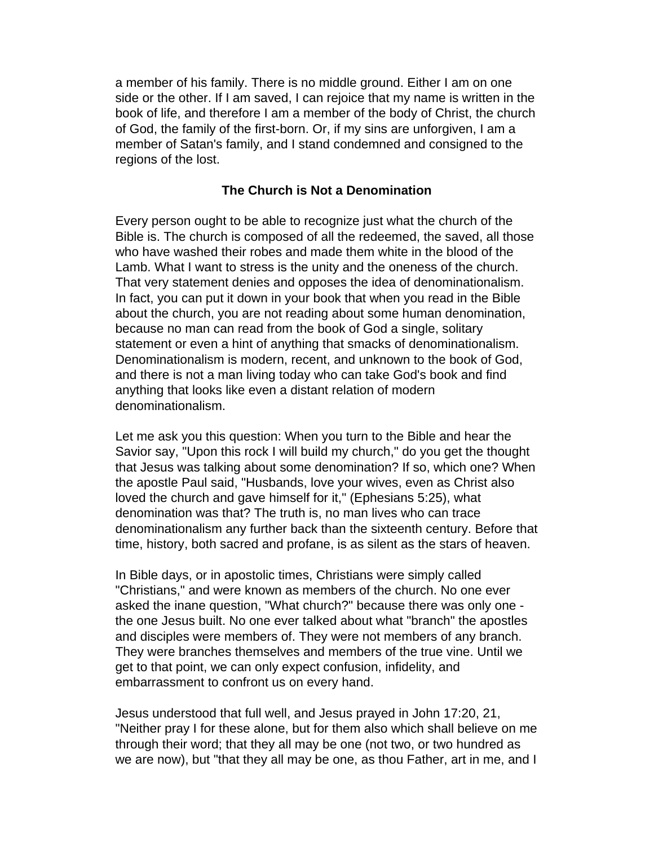a member of his family. There is no middle ground. Either I am on one side or the other. If I am saved, I can rejoice that my name is written in the book of life, and therefore I am a member of the body of Christ, the church of God, the family of the first-born. Or, if my sins are unforgiven, I am a member of Satan's family, and I stand condemned and consigned to the regions of the lost.

#### **The Church is Not a Denomination**

Every person ought to be able to recognize just what the church of the Bible is. The church is composed of all the redeemed, the saved, all those who have washed their robes and made them white in the blood of the Lamb. What I want to stress is the unity and the oneness of the church. That very statement denies and opposes the idea of denominationalism. In fact, you can put it down in your book that when you read in the Bible about the church, you are not reading about some human denomination, because no man can read from the book of God a single, solitary statement or even a hint of anything that smacks of denominationalism. Denominationalism is modern, recent, and unknown to the book of God, and there is not a man living today who can take God's book and find anything that looks like even a distant relation of modern denominationalism.

Let me ask you this question: When you turn to the Bible and hear the Savior say, "Upon this rock I will build my church," do you get the thought that Jesus was talking about some denomination? If so, which one? When the apostle Paul said, "Husbands, love your wives, even as Christ also loved the church and gave himself for it," (Ephesians 5:25), what denomination was that? The truth is, no man lives who can trace denominationalism any further back than the sixteenth century. Before that time, history, both sacred and profane, is as silent as the stars of heaven.

In Bible days, or in apostolic times, Christians were simply called "Christians," and were known as members of the church. No one ever asked the inane question, "What church?" because there was only one the one Jesus built. No one ever talked about what "branch" the apostles and disciples were members of. They were not members of any branch. They were branches themselves and members of the true vine. Until we get to that point, we can only expect confusion, infidelity, and embarrassment to confront us on every hand.

Jesus understood that full well, and Jesus prayed in John 17:20, 21, "Neither pray I for these alone, but for them also which shall believe on me through their word; that they all may be one (not two, or two hundred as we are now), but "that they all may be one, as thou Father, art in me, and I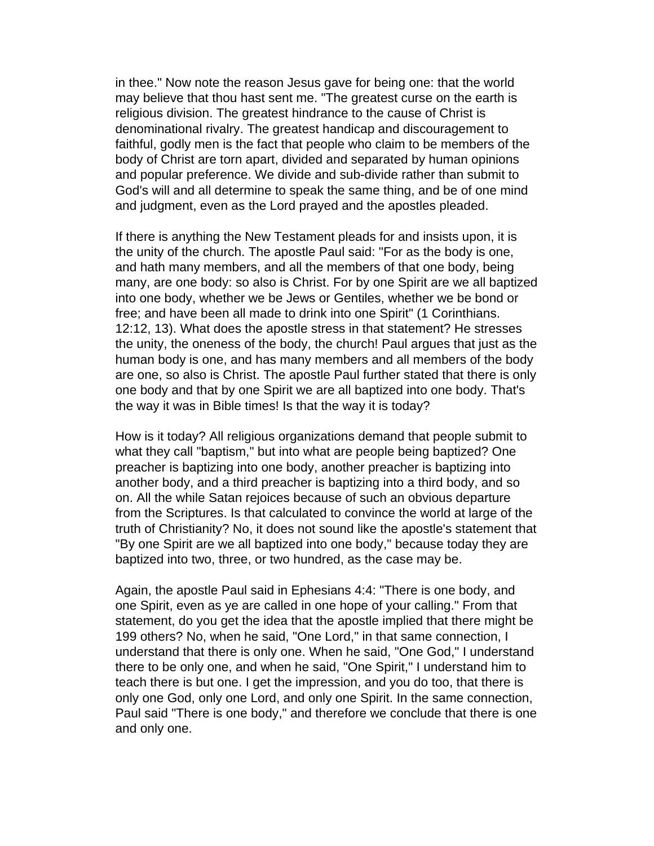in thee." Now note the reason Jesus gave for being one: that the world may believe that thou hast sent me. "The greatest curse on the earth is religious division. The greatest hindrance to the cause of Christ is denominational rivalry. The greatest handicap and discouragement to faithful, godly men is the fact that people who claim to be members of the body of Christ are torn apart, divided and separated by human opinions and popular preference. We divide and sub-divide rather than submit to God's will and all determine to speak the same thing, and be of one mind and judgment, even as the Lord prayed and the apostles pleaded.

If there is anything the New Testament pleads for and insists upon, it is the unity of the church. The apostle Paul said: "For as the body is one, and hath many members, and all the members of that one body, being many, are one body: so also is Christ. For by one Spirit are we all baptized into one body, whether we be Jews or Gentiles, whether we be bond or free; and have been all made to drink into one Spirit" (1 Corinthians. 12:12, 13). What does the apostle stress in that statement? He stresses the unity, the oneness of the body, the church! Paul argues that just as the human body is one, and has many members and all members of the body are one, so also is Christ. The apostle Paul further stated that there is only one body and that by one Spirit we are all baptized into one body. That's the way it was in Bible times! Is that the way it is today?

How is it today? All religious organizations demand that people submit to what they call "baptism," but into what are people being baptized? One preacher is baptizing into one body, another preacher is baptizing into another body, and a third preacher is baptizing into a third body, and so on. All the while Satan rejoices because of such an obvious departure from the Scriptures. Is that calculated to convince the world at large of the truth of Christianity? No, it does not sound like the apostle's statement that "By one Spirit are we all baptized into one body," because today they are baptized into two, three, or two hundred, as the case may be.

Again, the apostle Paul said in Ephesians 4:4: "There is one body, and one Spirit, even as ye are called in one hope of your calling." From that statement, do you get the idea that the apostle implied that there might be 199 others? No, when he said, "One Lord," in that same connection, I understand that there is only one. When he said, "One God," I understand there to be only one, and when he said, "One Spirit," I understand him to teach there is but one. I get the impression, and you do too, that there is only one God, only one Lord, and only one Spirit. In the same connection, Paul said "There is one body," and therefore we conclude that there is one and only one.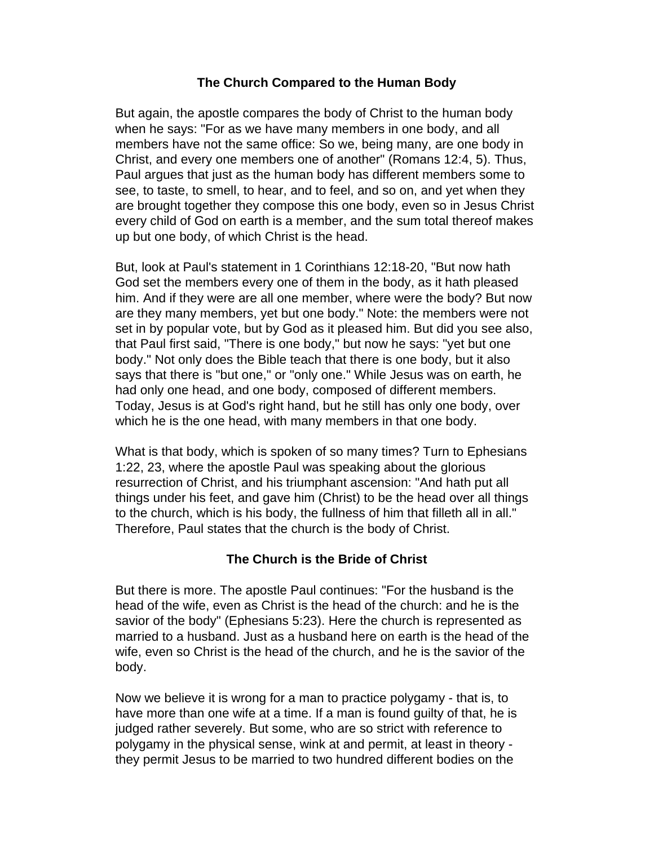#### **The Church Compared to the Human Body**

But again, the apostle compares the body of Christ to the human body when he says: "For as we have many members in one body, and all members have not the same office: So we, being many, are one body in Christ, and every one members one of another" (Romans 12:4, 5). Thus, Paul argues that just as the human body has different members some to see, to taste, to smell, to hear, and to feel, and so on, and yet when they are brought together they compose this one body, even so in Jesus Christ every child of God on earth is a member, and the sum total thereof makes up but one body, of which Christ is the head.

But, look at Paul's statement in 1 Corinthians 12:18-20, "But now hath God set the members every one of them in the body, as it hath pleased him. And if they were are all one member, where were the body? But now are they many members, yet but one body." Note: the members were not set in by popular vote, but by God as it pleased him. But did you see also, that Paul first said, "There is one body," but now he says: "yet but one body." Not only does the Bible teach that there is one body, but it also says that there is "but one," or "only one." While Jesus was on earth, he had only one head, and one body, composed of different members. Today, Jesus is at God's right hand, but he still has only one body, over which he is the one head, with many members in that one body.

What is that body, which is spoken of so many times? Turn to Ephesians 1:22, 23, where the apostle Paul was speaking about the glorious resurrection of Christ, and his triumphant ascension: "And hath put all things under his feet, and gave him (Christ) to be the head over all things to the church, which is his body, the fullness of him that filleth all in all." Therefore, Paul states that the church is the body of Christ.

## **The Church is the Bride of Christ**

But there is more. The apostle Paul continues: "For the husband is the head of the wife, even as Christ is the head of the church: and he is the savior of the body" (Ephesians 5:23). Here the church is represented as married to a husband. Just as a husband here on earth is the head of the wife, even so Christ is the head of the church, and he is the savior of the body.

Now we believe it is wrong for a man to practice polygamy - that is, to have more than one wife at a time. If a man is found guilty of that, he is judged rather severely. But some, who are so strict with reference to polygamy in the physical sense, wink at and permit, at least in theory they permit Jesus to be married to two hundred different bodies on the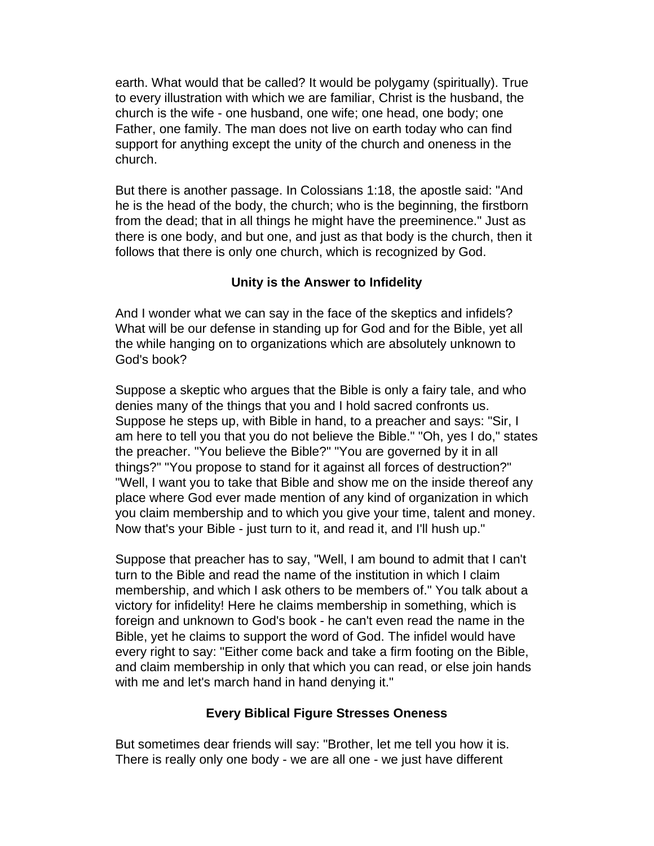earth. What would that be called? It would be polygamy (spiritually). True to every illustration with which we are familiar, Christ is the husband, the church is the wife - one husband, one wife; one head, one body; one Father, one family. The man does not live on earth today who can find support for anything except the unity of the church and oneness in the church.

But there is another passage. In Colossians 1:18, the apostle said: "And he is the head of the body, the church; who is the beginning, the firstborn from the dead; that in all things he might have the preeminence." Just as there is one body, and but one, and just as that body is the church, then it follows that there is only one church, which is recognized by God.

## **Unity is the Answer to Infidelity**

And I wonder what we can say in the face of the skeptics and infidels? What will be our defense in standing up for God and for the Bible, yet all the while hanging on to organizations which are absolutely unknown to God's book?

Suppose a skeptic who argues that the Bible is only a fairy tale, and who denies many of the things that you and I hold sacred confronts us. Suppose he steps up, with Bible in hand, to a preacher and says: "Sir, I am here to tell you that you do not believe the Bible." "Oh, yes I do," states the preacher. "You believe the Bible?" "You are governed by it in all things?" "You propose to stand for it against all forces of destruction?" "Well, I want you to take that Bible and show me on the inside thereof any place where God ever made mention of any kind of organization in which you claim membership and to which you give your time, talent and money. Now that's your Bible - just turn to it, and read it, and I'll hush up."

Suppose that preacher has to say, "Well, I am bound to admit that I can't turn to the Bible and read the name of the institution in which I claim membership, and which I ask others to be members of." You talk about a victory for infidelity! Here he claims membership in something, which is foreign and unknown to God's book - he can't even read the name in the Bible, yet he claims to support the word of God. The infidel would have every right to say: "Either come back and take a firm footing on the Bible, and claim membership in only that which you can read, or else join hands with me and let's march hand in hand denying it."

## **Every Biblical Figure Stresses Oneness**

But sometimes dear friends will say: "Brother, let me tell you how it is. There is really only one body - we are all one - we just have different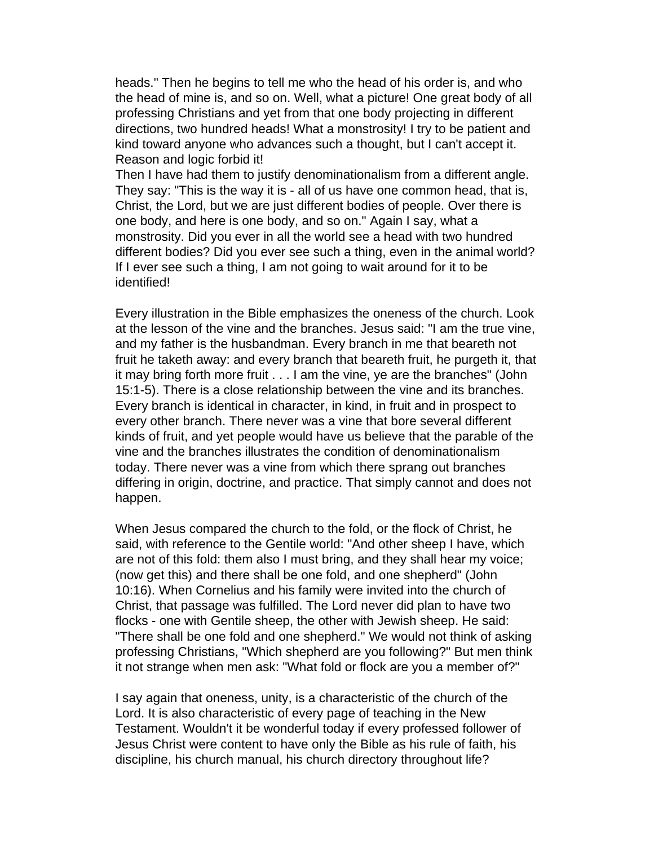heads." Then he begins to tell me who the head of his order is, and who the head of mine is, and so on. Well, what a picture! One great body of all professing Christians and yet from that one body projecting in different directions, two hundred heads! What a monstrosity! I try to be patient and kind toward anyone who advances such a thought, but I can't accept it. Reason and logic forbid it!

Then I have had them to justify denominationalism from a different angle. They say: "This is the way it is - all of us have one common head, that is, Christ, the Lord, but we are just different bodies of people. Over there is one body, and here is one body, and so on." Again I say, what a monstrosity. Did you ever in all the world see a head with two hundred different bodies? Did you ever see such a thing, even in the animal world? If I ever see such a thing, I am not going to wait around for it to be identified!

Every illustration in the Bible emphasizes the oneness of the church. Look at the lesson of the vine and the branches. Jesus said: "I am the true vine, and my father is the husbandman. Every branch in me that beareth not fruit he taketh away: and every branch that beareth fruit, he purgeth it, that it may bring forth more fruit . . . I am the vine, ye are the branches" (John 15:1-5). There is a close relationship between the vine and its branches. Every branch is identical in character, in kind, in fruit and in prospect to every other branch. There never was a vine that bore several different kinds of fruit, and yet people would have us believe that the parable of the vine and the branches illustrates the condition of denominationalism today. There never was a vine from which there sprang out branches differing in origin, doctrine, and practice. That simply cannot and does not happen.

When Jesus compared the church to the fold, or the flock of Christ, he said, with reference to the Gentile world: "And other sheep I have, which are not of this fold: them also I must bring, and they shall hear my voice; (now get this) and there shall be one fold, and one shepherd" (John 10:16). When Cornelius and his family were invited into the church of Christ, that passage was fulfilled. The Lord never did plan to have two flocks - one with Gentile sheep, the other with Jewish sheep. He said: "There shall be one fold and one shepherd." We would not think of asking professing Christians, "Which shepherd are you following?" But men think it not strange when men ask: "What fold or flock are you a member of?"

I say again that oneness, unity, is a characteristic of the church of the Lord. It is also characteristic of every page of teaching in the New Testament. Wouldn't it be wonderful today if every professed follower of Jesus Christ were content to have only the Bible as his rule of faith, his discipline, his church manual, his church directory throughout life?